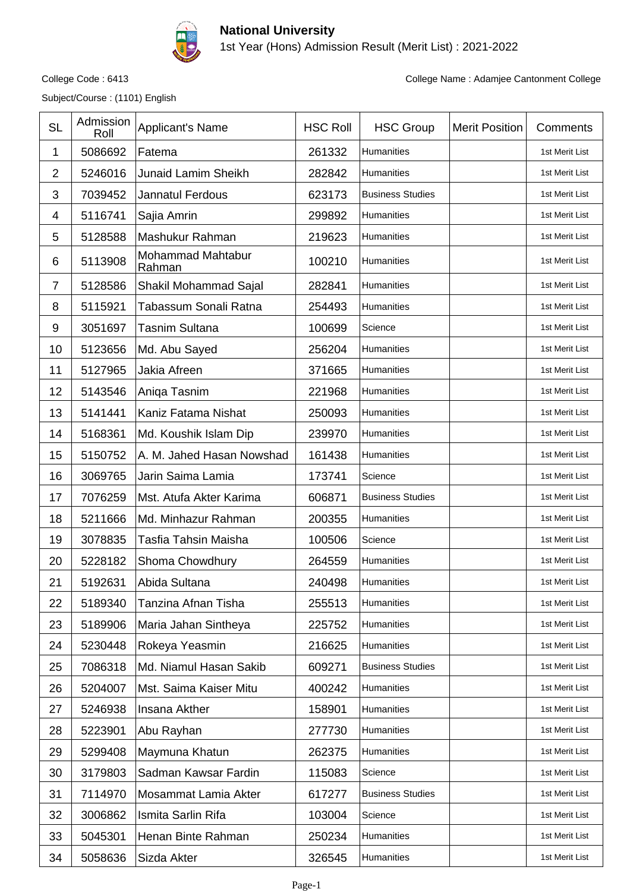

## **National University**

1st Year (Hons) Admission Result (Merit List) : 2021-2022

Subject/Course : (1101) English

College Code : 6413 College Name : Adamjee Cantonment College

| <b>SL</b>      | Admission<br>Roll | <b>Applicant's Name</b>     | <b>HSC Roll</b> | <b>HSC Group</b>        | <b>Merit Position</b> | Comments       |
|----------------|-------------------|-----------------------------|-----------------|-------------------------|-----------------------|----------------|
| 1              | 5086692           | Fatema                      | 261332          | Humanities              |                       | 1st Merit List |
| $\overline{2}$ | 5246016           | <b>Junaid Lamim Sheikh</b>  | 282842          | Humanities              |                       | 1st Merit List |
| 3              | 7039452           | Jannatul Ferdous            | 623173          | <b>Business Studies</b> |                       | 1st Merit List |
| 4              | 5116741           | Sajia Amrin                 | 299892          | Humanities              |                       | 1st Merit List |
| 5              | 5128588           | Mashukur Rahman             | 219623          | Humanities              |                       | 1st Merit List |
| 6              | 5113908           | Mohammad Mahtabur<br>Rahman | 100210          | Humanities              |                       | 1st Merit List |
| $\overline{7}$ | 5128586           | Shakil Mohammad Sajal       | 282841          | Humanities              |                       | 1st Merit List |
| 8              | 5115921           | Tabassum Sonali Ratna       | 254493          | Humanities              |                       | 1st Merit List |
| 9              | 3051697           | <b>Tasnim Sultana</b>       | 100699          | Science                 |                       | 1st Merit List |
| 10             | 5123656           | Md. Abu Sayed               | 256204          | Humanities              |                       | 1st Merit List |
| 11             | 5127965           | Jakia Afreen                | 371665          | Humanities              |                       | 1st Merit List |
| 12             | 5143546           | Aniqa Tasnim                | 221968          | <b>Humanities</b>       |                       | 1st Merit List |
| 13             | 5141441           | Kaniz Fatama Nishat         | 250093          | Humanities              |                       | 1st Merit List |
| 14             | 5168361           | Md. Koushik Islam Dip       | 239970          | Humanities              |                       | 1st Merit List |
| 15             | 5150752           | A. M. Jahed Hasan Nowshad   | 161438          | Humanities              |                       | 1st Merit List |
| 16             | 3069765           | Jarin Saima Lamia           | 173741          | Science                 |                       | 1st Merit List |
| 17             | 7076259           | Mst. Atufa Akter Karima     | 606871          | <b>Business Studies</b> |                       | 1st Merit List |
| 18             | 5211666           | Md. Minhazur Rahman         | 200355          | <b>Humanities</b>       |                       | 1st Merit List |
| 19             | 3078835           | Tasfia Tahsin Maisha        | 100506          | Science                 |                       | 1st Merit List |
| 20             | 5228182           | Shoma Chowdhury             | 264559          | Humanities              |                       | 1st Merit List |
| 21             | 5192631           | Abida Sultana               | 240498          | Humanities              |                       | 1st Merit List |
| 22             | 5189340           | Tanzina Afnan Tisha         | 255513          | Humanities              |                       | 1st Merit List |
| 23             | 5189906           | Maria Jahan Sintheya        | 225752          | Humanities              |                       | 1st Merit List |
| 24             | 5230448           | Rokeya Yeasmin              | 216625          | Humanities              |                       | 1st Merit List |
| 25             | 7086318           | Md. Niamul Hasan Sakib      | 609271          | <b>Business Studies</b> |                       | 1st Merit List |
| 26             | 5204007           | Mst. Saima Kaiser Mitu      | 400242          | Humanities              |                       | 1st Merit List |
| 27             | 5246938           | Insana Akther               | 158901          | Humanities              |                       | 1st Merit List |
| 28             | 5223901           | Abu Rayhan                  | 277730          | Humanities              |                       | 1st Merit List |
| 29             | 5299408           | Maymuna Khatun              | 262375          | Humanities              |                       | 1st Merit List |
| 30             | 3179803           | Sadman Kawsar Fardin        | 115083          | Science                 |                       | 1st Merit List |
| 31             | 7114970           | Mosammat Lamia Akter        | 617277          | <b>Business Studies</b> |                       | 1st Merit List |
| 32             | 3006862           | Ismita Sarlin Rifa          | 103004          | Science                 |                       | 1st Merit List |
| 33             | 5045301           | Henan Binte Rahman          | 250234          | Humanities              |                       | 1st Merit List |
| 34             | 5058636           | Sizda Akter                 | 326545          | Humanities              |                       | 1st Merit List |